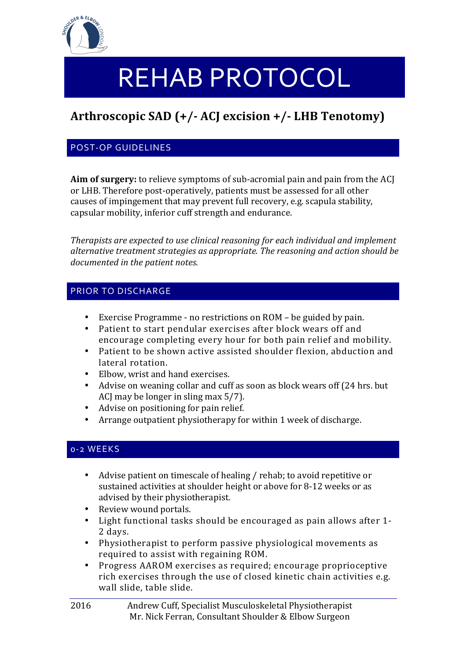

# REHAB PROTOCOL

## **Arthroscopic SAD (+/- ACJ excision +/- LHB Tenotomy)**

#### POST-OP GUIDELINES

**Aim of surgery:** to relieve symptoms of sub-acromial pain and pain from the ACJ or LHB. Therefore post-operatively, patients must be assessed for all other causes of impingement that may prevent full recovery, e.g. scapula stability, capsular mobility, inferior cuff strength and endurance.

*Therapists are expected to use clinical reasoning for each individual and implement* alternative treatment strategies as appropriate. The reasoning and action should be documented in the patient notes.

#### PRIOR TO DISCHARGE

- Exercise Programme no restrictions on ROM be guided by pain.
- Patient to start pendular exercises after block wears off and encourage completing every hour for both pain relief and mobility.
- Patient to be shown active assisted shoulder flexion, abduction and lateral rotation.
- Elbow, wrist and hand exercises.
- Advise on weaning collar and cuff as soon as block wears off (24 hrs. but ACJ may be longer in sling max  $5/7$ ).
- Advise on positioning for pain relief.
- Arrange outpatient physiotherapy for within 1 week of discharge.

#### 0-2 WEEKS

- Advise patient on timescale of healing / rehab; to avoid repetitive or sustained activities at shoulder height or above for 8-12 weeks or as advised by their physiotherapist.
- Review wound portals.
- Light functional tasks should be encouraged as pain allows after 1-2 days.
- Physiotherapist to perform passive physiological movements as required to assist with regaining ROM.
- Progress AAROM exercises as required; encourage proprioceptive rich exercises through the use of closed kinetic chain activities e.g. wall slide, table slide.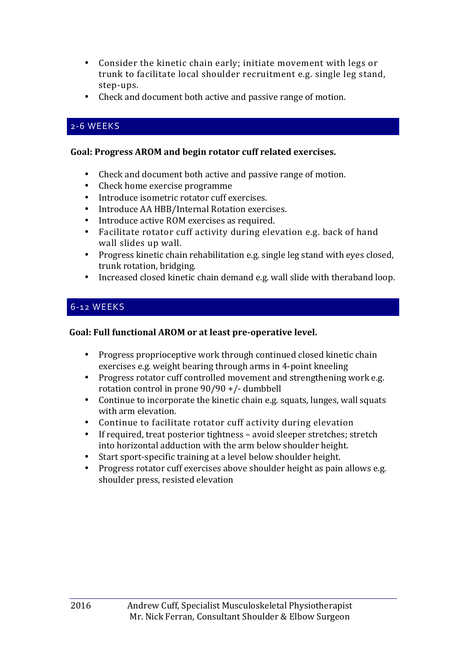- Consider the kinetic chain early; initiate movement with legs or trunk to facilitate local shoulder recruitment e.g. single leg stand, step-ups.
- Check and document both active and passive range of motion.

#### 2-6 WEEKS

#### Goal: Progress AROM and begin rotator cuff related exercises.

- Check and document both active and passive range of motion.
- Check home exercise programme
- Introduce isometric rotator cuff exercises.
- Introduce AA HBB/Internal Rotation exercises.
- Introduce active ROM exercises as required.
- Facilitate rotator cuff activity during elevation e.g. back of hand wall slides up wall.
- Progress kinetic chain rehabilitation e.g. single leg stand with eyes closed, trunk rotation, bridging.
- Increased closed kinetic chain demand e.g. wall slide with theraband loop.

#### 6-12 WEEKS

#### Goal: Full functional AROM or at least pre-operative level.

- Progress proprioceptive work through continued closed kinetic chain exercises e.g. weight bearing through arms in 4-point kneeling
- Progress rotator cuff controlled movement and strengthening work e.g. rotation control in prone  $90/90 +$ /- dumbbell
- Continue to incorporate the kinetic chain e.g. squats, lunges, wall squats with arm elevation.
- Continue to facilitate rotator cuff activity during elevation
- If required, treat posterior tightness avoid sleeper stretches; stretch into horizontal adduction with the arm below shoulder height.
- Start sport-specific training at a level below shoulder height.
- Progress rotator cuff exercises above shoulder height as pain allows e.g. shoulder press, resisted elevation